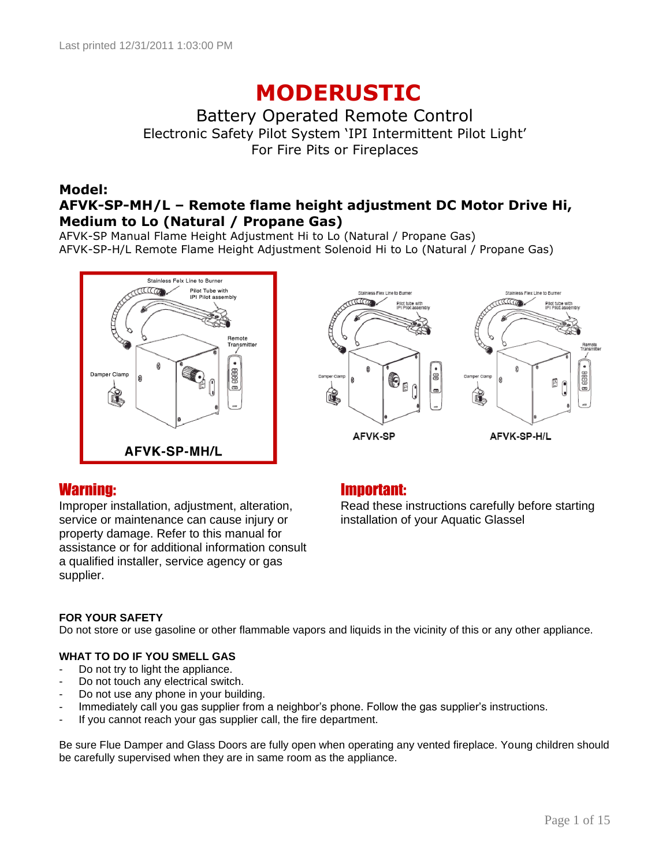# **MODERUSTIC**

Battery Operated Remote Control Electronic Safety Pilot System "IPI Intermittent Pilot Light" For Fire Pits or Fireplaces

### **Model: AFVK-SP-MH/L – Remote flame height adjustment DC Motor Drive Hi, Medium to Lo (Natural / Propane Gas)**

AFVK-SP Manual Flame Height Adjustment Hi to Lo (Natural / Propane Gas) AFVK-SP-H/L Remote Flame Height Adjustment Solenoid Hi to Lo (Natural / Propane Gas)





Improper installation, adjustment, alteration, service or maintenance can cause injury or property damage. Refer to this manual for assistance or for additional information consult a qualified installer, service agency or gas supplier.

### Warning: Important:

Read these instructions carefully before starting installation of your Aquatic Glassel

### **FOR YOUR SAFETY**

Do not store or use gasoline or other flammable vapors and liquids in the vicinity of this or any other appliance.

### **WHAT TO DO IF YOU SMELL GAS**

- Do not try to light the appliance.
- Do not touch any electrical switch.
- Do not use any phone in your building.
- Immediately call you gas supplier from a neighbor's phone. Follow the gas supplier's instructions.
- If you cannot reach your gas supplier call, the fire department.

Be sure Flue Damper and Glass Doors are fully open when operating any vented fireplace. Young children should be carefully supervised when they are in same room as the appliance.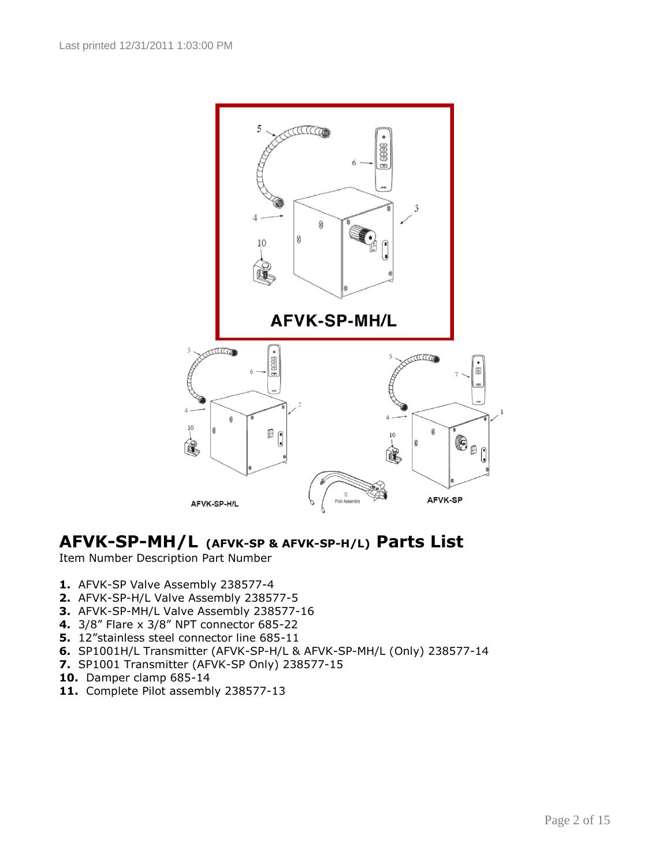

### **AFVK-SP-MH/L (AFVK-SP & AFVK-SP-H/L) Parts List**

Item Number Description Part Number

- **1.** AFVK-SP Valve Assembly 238577-4
- **2.** AFVK-SP-H/L Valve Assembly 238577-5
- **3.** AFVK-SP-MH/L Valve Assembly 238577-16
- **4.** 3/8" Flare x 3/8" NPT connector 685-22
- **5.** 12"stainless steel connector line 685-11
- **6.** SP1001H/L Transmitter (AFVK-SP-H/L & AFVK-SP-MH/L (Only) 238577-14
- **7.** SP1001 Transmitter (AFVK-SP Only) 238577-15
- **10.** Damper clamp 685-14
- **11.** Complete Pilot assembly 238577-13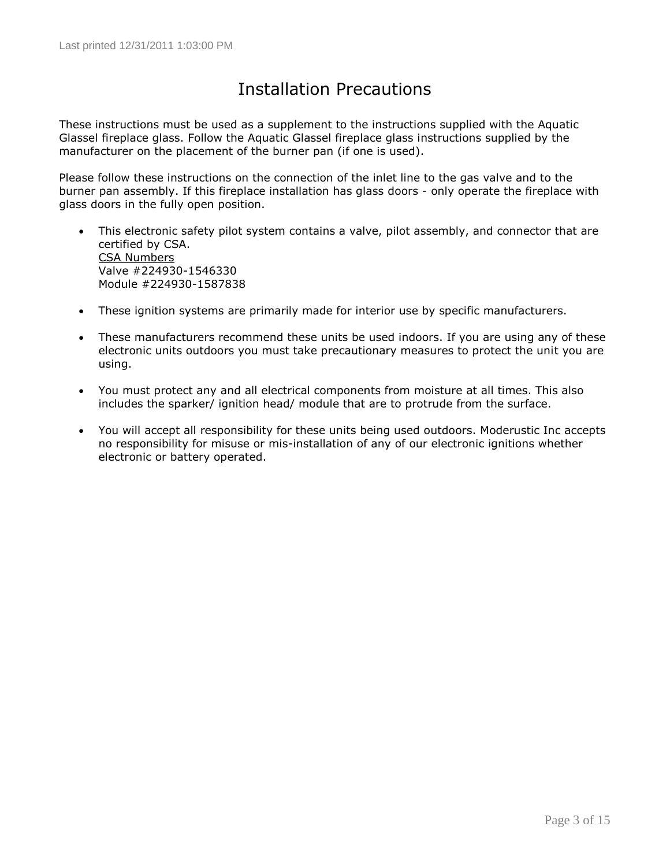### Installation Precautions

These instructions must be used as a supplement to the instructions supplied with the Aquatic Glassel fireplace glass. Follow the Aquatic Glassel fireplace glass instructions supplied by the manufacturer on the placement of the burner pan (if one is used).

Please follow these instructions on the connection of the inlet line to the gas valve and to the burner pan assembly. If this fireplace installation has glass doors - only operate the fireplace with glass doors in the fully open position.

- This electronic safety pilot system contains a valve, pilot assembly, and connector that are certified by CSA. CSA Numbers Valve #224930-1546330 Module #224930-1587838
- These ignition systems are primarily made for interior use by specific manufacturers.
- These manufacturers recommend these units be used indoors. If you are using any of these electronic units outdoors you must take precautionary measures to protect the unit you are using.
- You must protect any and all electrical components from moisture at all times. This also includes the sparker/ ignition head/ module that are to protrude from the surface.
- You will accept all responsibility for these units being used outdoors. Moderustic Inc accepts no responsibility for misuse or mis-installation of any of our electronic ignitions whether electronic or battery operated.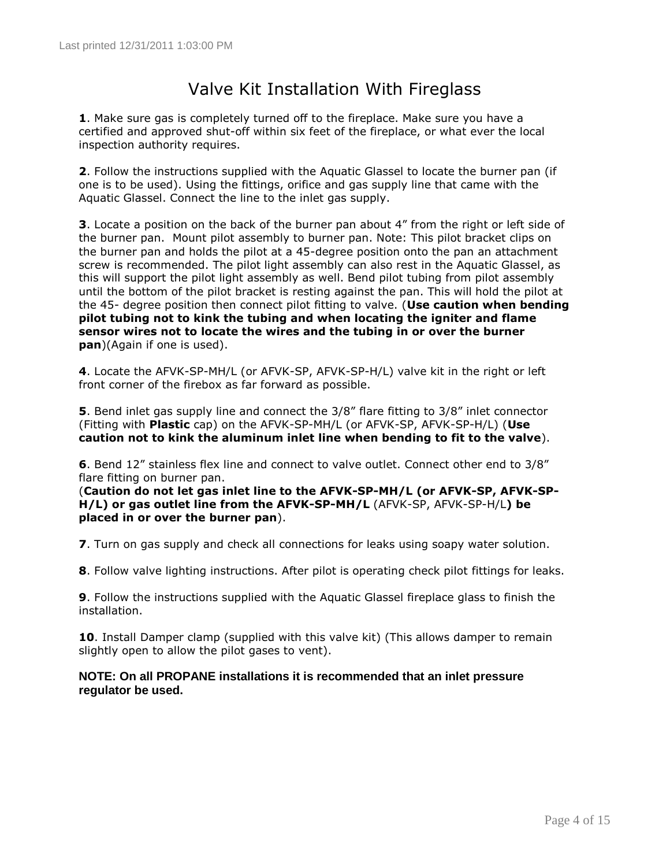### Valve Kit Installation With Fireglass

**1**. Make sure gas is completely turned off to the fireplace. Make sure you have a certified and approved shut-off within six feet of the fireplace, or what ever the local inspection authority requires.

**2**. Follow the instructions supplied with the Aquatic Glassel to locate the burner pan (if one is to be used). Using the fittings, orifice and gas supply line that came with the Aquatic Glassel. Connect the line to the inlet gas supply.

**3**. Locate a position on the back of the burner pan about 4" from the right or left side of the burner pan. Mount pilot assembly to burner pan. Note: This pilot bracket clips on the burner pan and holds the pilot at a 45-degree position onto the pan an attachment screw is recommended. The pilot light assembly can also rest in the Aquatic Glassel, as this will support the pilot light assembly as well. Bend pilot tubing from pilot assembly until the bottom of the pilot bracket is resting against the pan. This will hold the pilot at the 45- degree position then connect pilot fitting to valve. (**Use caution when bending pilot tubing not to kink the tubing and when locating the igniter and flame sensor wires not to locate the wires and the tubing in or over the burner pan**)(Again if one is used).

**4**. Locate the AFVK-SP-MH/L (or AFVK-SP, AFVK-SP-H/L) valve kit in the right or left front corner of the firebox as far forward as possible.

**5**. Bend inlet gas supply line and connect the 3/8" flare fitting to 3/8" inlet connector (Fitting with **Plastic** cap) on the AFVK-SP-MH/L (or AFVK-SP, AFVK-SP-H/L) (**Use caution not to kink the aluminum inlet line when bending to fit to the valve**).

**6**. Bend 12" stainless flex line and connect to valve outlet. Connect other end to 3/8" flare fitting on burner pan.

(**Caution do not let gas inlet line to the AFVK-SP-MH/L (or AFVK-SP, AFVK-SP-H/L) or gas outlet line from the AFVK-SP-MH/L** (AFVK-SP, AFVK-SP-H/L**) be placed in or over the burner pan**).

**7**. Turn on gas supply and check all connections for leaks using soapy water solution.

**8**. Follow valve lighting instructions. After pilot is operating check pilot fittings for leaks.

**9**. Follow the instructions supplied with the Aquatic Glassel fireplace glass to finish the installation.

**10**. Install Damper clamp (supplied with this valve kit) (This allows damper to remain slightly open to allow the pilot gases to vent).

### **NOTE: On all PROPANE installations it is recommended that an inlet pressure regulator be used.**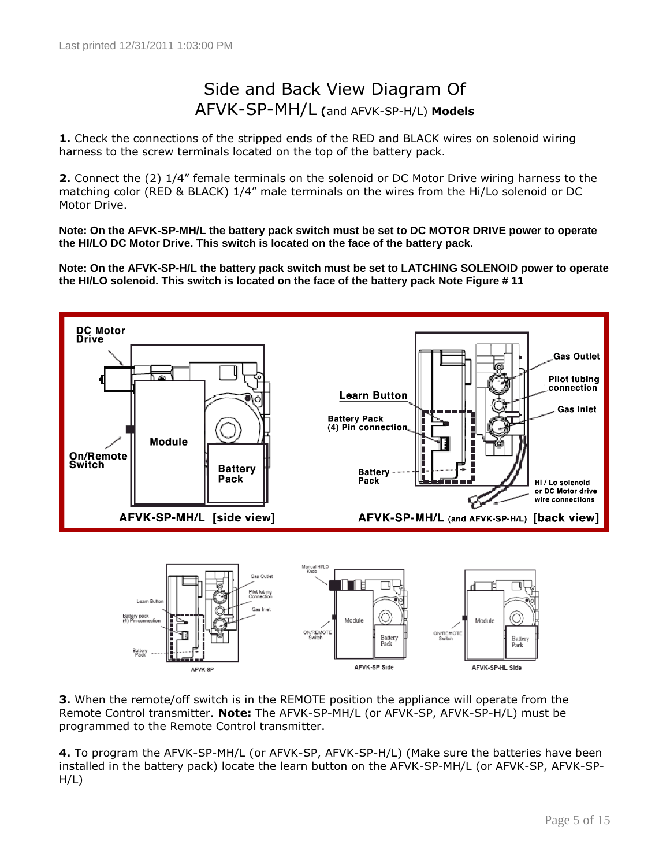### Side and Back View Diagram Of AFVK-SP-MH/L **(**and AFVK-SP-H/L) **Models**

**1.** Check the connections of the stripped ends of the RED and BLACK wires on solenoid wiring harness to the screw terminals located on the top of the battery pack.

**2.** Connect the (2) 1/4" female terminals on the solenoid or DC Motor Drive wiring harness to the matching color (RED & BLACK) 1/4" male terminals on the wires from the Hi/Lo solenoid or DC Motor Drive.

**Note: On the AFVK-SP-MH/L the battery pack switch must be set to DC MOTOR DRIVE power to operate the HI/LO DC Motor Drive. This switch is located on the face of the battery pack.** 

**Note: On the AFVK-SP-H/L the battery pack switch must be set to LATCHING SOLENOID power to operate the HI/LO solenoid. This switch is located on the face of the battery pack Note Figure # 11**





**3.** When the remote/off switch is in the REMOTE position the appliance will operate from the Remote Control transmitter. **Note:** The AFVK-SP-MH/L (or AFVK-SP, AFVK-SP-H/L) must be programmed to the Remote Control transmitter.

**4.** To program the AFVK-SP-MH/L (or AFVK-SP, AFVK-SP-H/L) (Make sure the batteries have been installed in the battery pack) locate the learn button on the AFVK-SP-MH/L (or AFVK-SP, AFVK-SP- $H/L$ )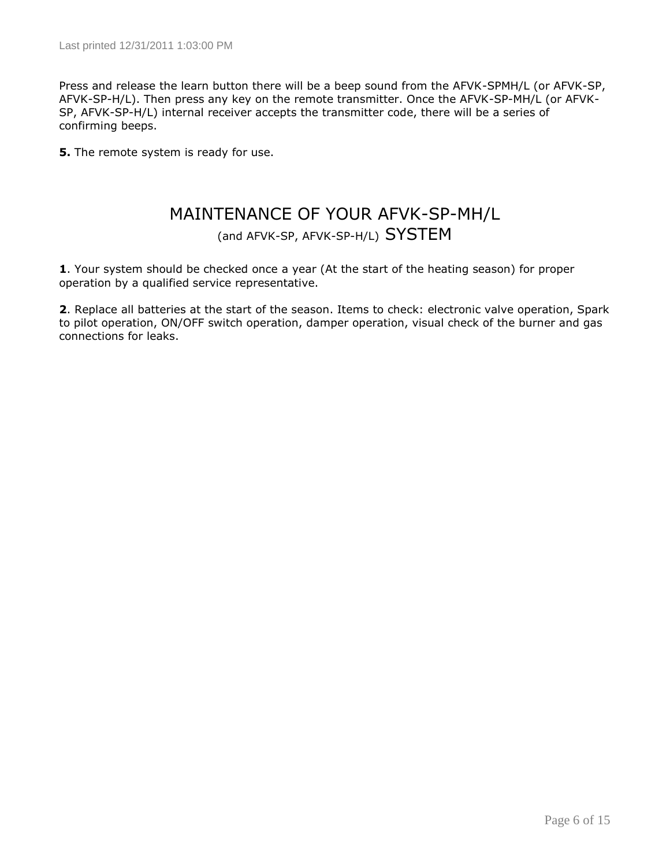Press and release the learn button there will be a beep sound from the AFVK-SPMH/L (or AFVK-SP, AFVK-SP-H/L). Then press any key on the remote transmitter. Once the AFVK-SP-MH/L (or AFVK-SP, AFVK-SP-H/L) internal receiver accepts the transmitter code, there will be a series of confirming beeps.

**5.** The remote system is ready for use.

### MAINTENANCE OF YOUR AFVK-SP-MH/L

(and AFVK-SP, AFVK-SP-H/L) SYSTEM

**1**. Your system should be checked once a year (At the start of the heating season) for proper operation by a qualified service representative.

**2**. Replace all batteries at the start of the season. Items to check: electronic valve operation, Spark to pilot operation, ON/OFF switch operation, damper operation, visual check of the burner and gas connections for leaks.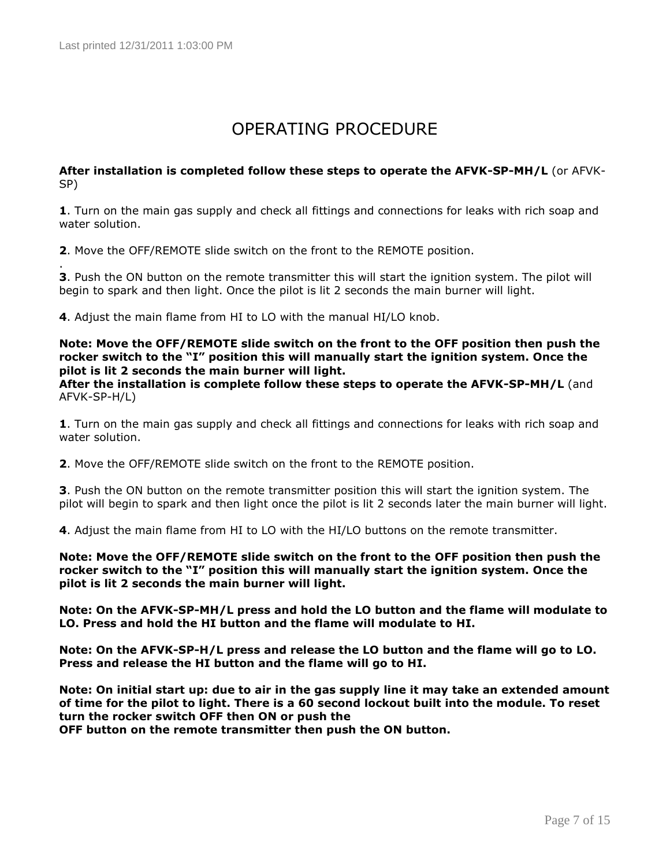.

## OPERATING PROCEDURE

#### **After installation is completed follow these steps to operate the AFVK-SP-MH/L** (or AFVK-SP)

**1**. Turn on the main gas supply and check all fittings and connections for leaks with rich soap and water solution.

**2**. Move the OFF/REMOTE slide switch on the front to the REMOTE position.

**3**. Push the ON button on the remote transmitter this will start the ignition system. The pilot will begin to spark and then light. Once the pilot is lit 2 seconds the main burner will light.

**4**. Adjust the main flame from HI to LO with the manual HI/LO knob.

**Note: Move the OFF/REMOTE slide switch on the front to the OFF position then push the rocker switch to the "I" position this will manually start the ignition system. Once the pilot is lit 2 seconds the main burner will light.**

**After the installation is complete follow these steps to operate the AFVK-SP-MH/L** (and AFVK-SP-H/L)

**1**. Turn on the main gas supply and check all fittings and connections for leaks with rich soap and water solution.

**2**. Move the OFF/REMOTE slide switch on the front to the REMOTE position.

**3**. Push the ON button on the remote transmitter position this will start the ignition system. The pilot will begin to spark and then light once the pilot is lit 2 seconds later the main burner will light.

**4**. Adjust the main flame from HI to LO with the HI/LO buttons on the remote transmitter.

**Note: Move the OFF/REMOTE slide switch on the front to the OFF position then push the rocker switch to the "I" position this will manually start the ignition system. Once the pilot is lit 2 seconds the main burner will light.**

**Note: On the AFVK-SP-MH/L press and hold the LO button and the flame will modulate to LO. Press and hold the HI button and the flame will modulate to HI.**

**Note: On the AFVK-SP-H/L press and release the LO button and the flame will go to LO. Press and release the HI button and the flame will go to HI.**

**Note: On initial start up: due to air in the gas supply line it may take an extended amount of time for the pilot to light. There is a 60 second lockout built into the module. To reset turn the rocker switch OFF then ON or push the**

**OFF button on the remote transmitter then push the ON button.**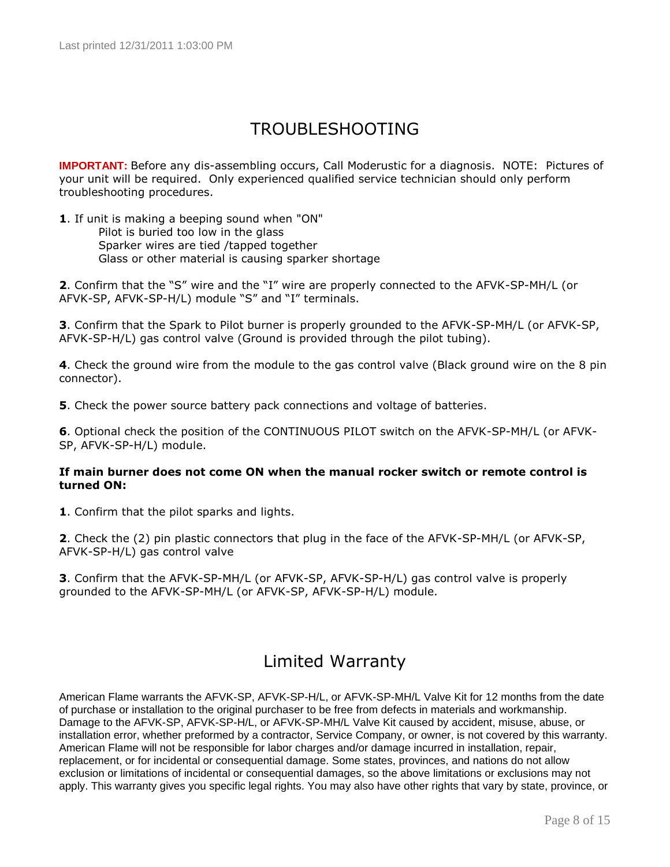### TROUBLESHOOTING

**IMPORTANT:** Before any dis-assembling occurs, Call Moderustic for a diagnosis. NOTE: Pictures of your unit will be required.Only experienced qualified service technician should only perform troubleshooting procedures.

**1**. If unit is making a beeping sound when "ON" Pilot is buried too low in the glass Sparker wires are tied /tapped together Glass or other material is causing sparker shortage

**2**. Confirm that the "S" wire and the "I" wire are properly connected to the AFVK-SP-MH/L (or AFVK-SP, AFVK-SP-H/L) module "S" and "I" terminals.

**3**. Confirm that the Spark to Pilot burner is properly grounded to the AFVK-SP-MH/L (or AFVK-SP, AFVK-SP-H/L) gas control valve (Ground is provided through the pilot tubing).

**4**. Check the ground wire from the module to the gas control valve (Black ground wire on the 8 pin connector).

**5**. Check the power source battery pack connections and voltage of batteries.

**6**. Optional check the position of the CONTINUOUS PILOT switch on the AFVK-SP-MH/L (or AFVK-SP, AFVK-SP-H/L) module.

### **If main burner does not come ON when the manual rocker switch or remote control is turned ON:**

**1**. Confirm that the pilot sparks and lights.

**2**. Check the (2) pin plastic connectors that plug in the face of the AFVK-SP-MH/L (or AFVK-SP, AFVK-SP-H/L) gas control valve

**3**. Confirm that the AFVK-SP-MH/L (or AFVK-SP, AFVK-SP-H/L) gas control valve is properly grounded to the AFVK-SP-MH/L (or AFVK-SP, AFVK-SP-H/L) module.

### Limited Warranty

American Flame warrants the AFVK-SP, AFVK-SP-H/L, or AFVK-SP-MH/L Valve Kit for 12 months from the date of purchase or installation to the original purchaser to be free from defects in materials and workmanship. Damage to the AFVK-SP, AFVK-SP-H/L, or AFVK-SP-MH/L Valve Kit caused by accident, misuse, abuse, or installation error, whether preformed by a contractor, Service Company, or owner, is not covered by this warranty. American Flame will not be responsible for labor charges and/or damage incurred in installation, repair, replacement, or for incidental or consequential damage. Some states, provinces, and nations do not allow exclusion or limitations of incidental or consequential damages, so the above limitations or exclusions may not apply. This warranty gives you specific legal rights. You may also have other rights that vary by state, province, or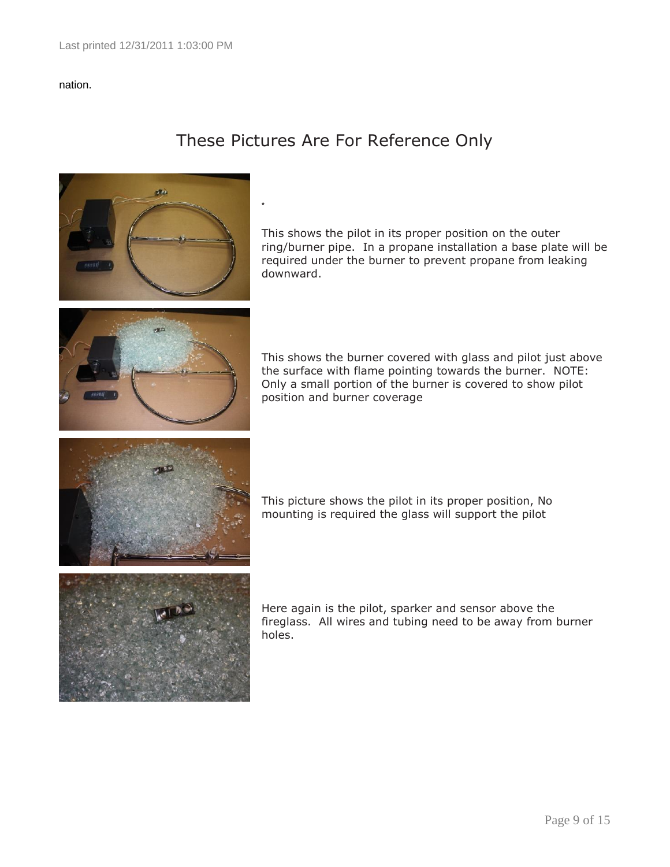### nation.

### These Pictures Are For Reference Only



This shows the pilot in its proper position on the outer ring/burner pipe. In a propane installation a base plate will be required under the burner to prevent propane from leaking downward.

This shows the burner covered with glass and pilot just above the surface with flame pointing towards the burner. NOTE: Only a small portion of the burner is covered to show pilot position and burner coverage

This picture shows the pilot in its proper position, No mounting is required the glass will support the pilot

Here again is the pilot, sparker and sensor above the fireglass. All wires and tubing need to be away from burner holes.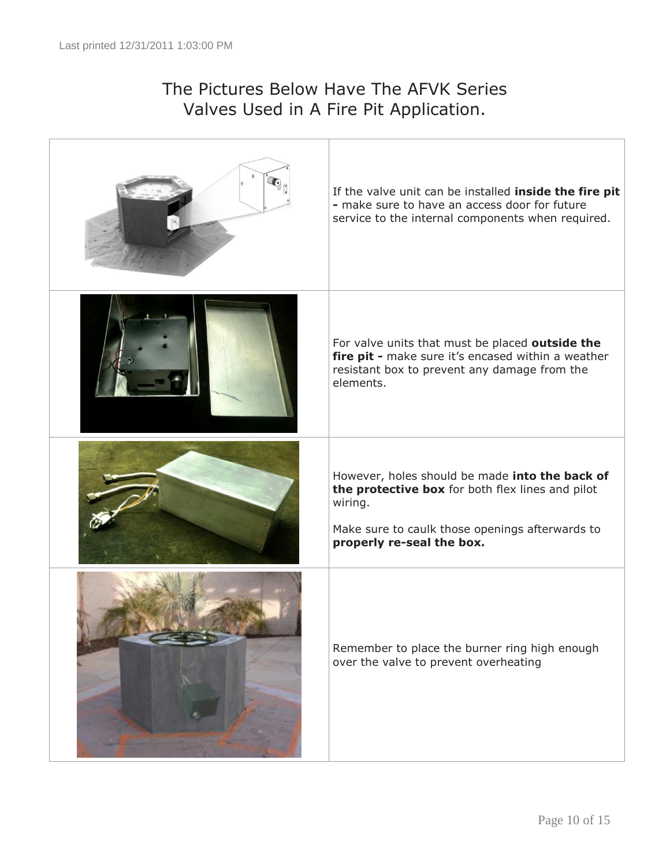### The Pictures Below Have The AFVK Series Valves Used in A Fire Pit Application.

| If the valve unit can be installed inside the fire pit<br>- make sure to have an access door for future<br>service to the internal components when required.                                  |
|-----------------------------------------------------------------------------------------------------------------------------------------------------------------------------------------------|
| For valve units that must be placed outside the<br>fire pit - make sure it's encased within a weather<br>resistant box to prevent any damage from the<br>elements.                            |
| However, holes should be made into the back of<br>the protective box for both flex lines and pilot<br>wiring.<br>Make sure to caulk those openings afterwards to<br>properly re-seal the box. |
| Remember to place the burner ring high enough<br>over the valve to prevent overheating                                                                                                        |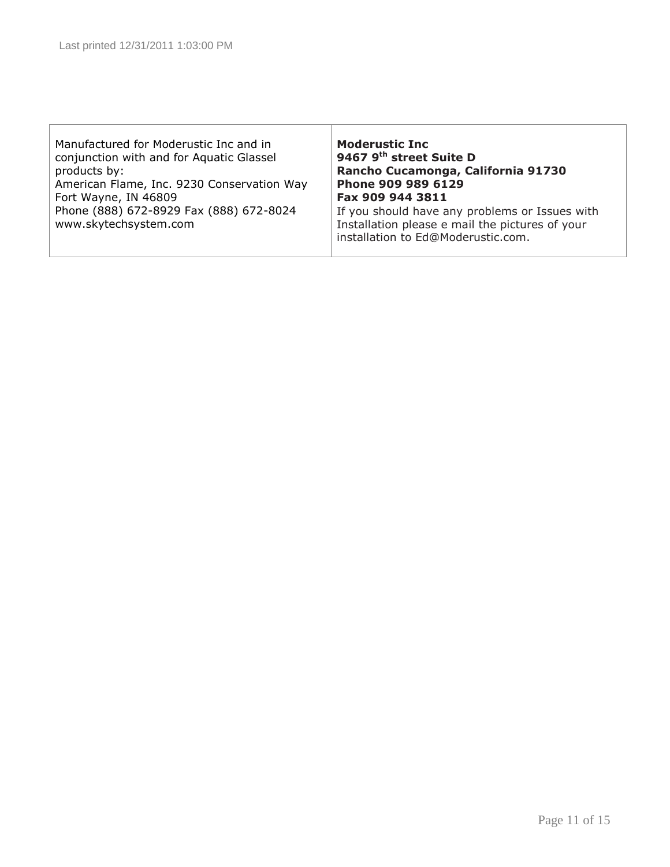| Manufactured for Moderustic Inc and in<br>conjunction with and for Aquatic Glassel<br>products by:<br>American Flame, Inc. 9230 Conservation Way<br>Fort Wayne, IN 46809<br>Phone (888) 672-8929 Fax (888) 672-8024<br>www.skytechsystem.com | <b>Moderustic Inc</b><br>9467 9 <sup>th</sup> street Suite D<br>Rancho Cucamonga, California 91730<br>Phone 909 989 6129<br>Fax 909 944 3811<br>If you should have any problems or Issues with<br>Installation please e mail the pictures of your<br>installation to Ed@Moderustic.com. |
|----------------------------------------------------------------------------------------------------------------------------------------------------------------------------------------------------------------------------------------------|-----------------------------------------------------------------------------------------------------------------------------------------------------------------------------------------------------------------------------------------------------------------------------------------|
|----------------------------------------------------------------------------------------------------------------------------------------------------------------------------------------------------------------------------------------------|-----------------------------------------------------------------------------------------------------------------------------------------------------------------------------------------------------------------------------------------------------------------------------------------|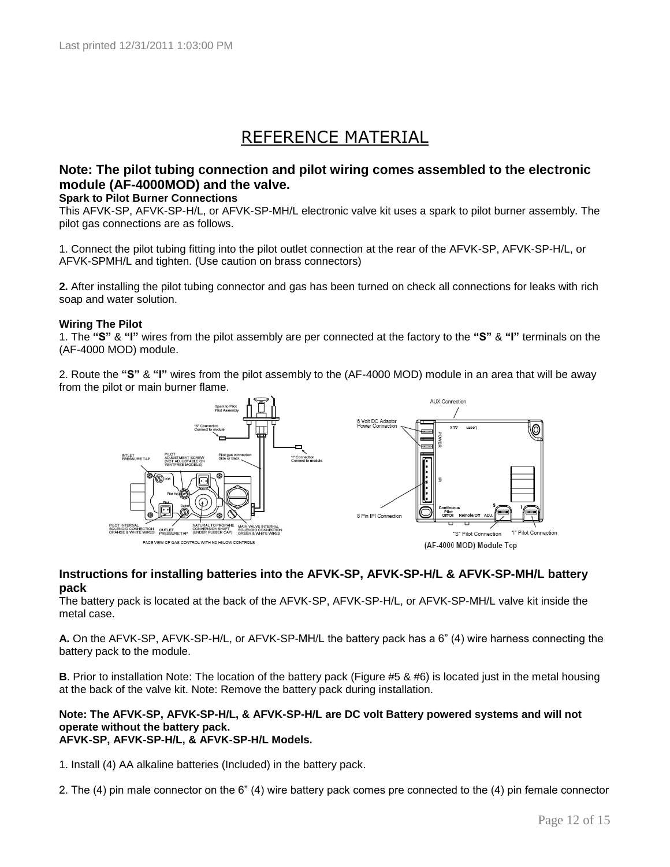### REFERENCE MATERIAL

### **Note: The pilot tubing connection and pilot wiring comes assembled to the electronic module (AF-4000MOD) and the valve.**

#### **Spark to Pilot Burner Connections**

This AFVK-SP, AFVK-SP-H/L, or AFVK-SP-MH/L electronic valve kit uses a spark to pilot burner assembly. The pilot gas connections are as follows.

1. Connect the pilot tubing fitting into the pilot outlet connection at the rear of the AFVK-SP, AFVK-SP-H/L, or AFVK-SPMH/L and tighten. (Use caution on brass connectors)

**2.** After installing the pilot tubing connector and gas has been turned on check all connections for leaks with rich soap and water solution.

#### **Wiring The Pilot**

1. The **"S"** & **"I"** wires from the pilot assembly are per connected at the factory to the **"S"** & **"I"** terminals on the (AF-4000 MOD) module.

2. Route the **"S"** & **"I"** wires from the pilot assembly to the (AF-4000 MOD) module in an area that will be away from the pilot or main burner flame.



#### **Instructions for installing batteries into the AFVK-SP, AFVK-SP-H/L & AFVK-SP-MH/L battery pack**

The battery pack is located at the back of the AFVK-SP, AFVK-SP-H/L, or AFVK-SP-MH/L valve kit inside the metal case.

**A.** On the AFVK-SP, AFVK-SP-H/L, or AFVK-SP-MH/L the battery pack has a 6" (4) wire harness connecting the battery pack to the module.

**B**. Prior to installation Note: The location of the battery pack (Figure #5 & #6) is located just in the metal housing at the back of the valve kit. Note: Remove the battery pack during installation.

#### **Note: The AFVK-SP, AFVK-SP-H/L, & AFVK-SP-H/L are DC volt Battery powered systems and will not operate without the battery pack. AFVK-SP, AFVK-SP-H/L, & AFVK-SP-H/L Models.**

1. Install (4) AA alkaline batteries (Included) in the battery pack.

2. The (4) pin male connector on the 6" (4) wire battery pack comes pre connected to the (4) pin female connector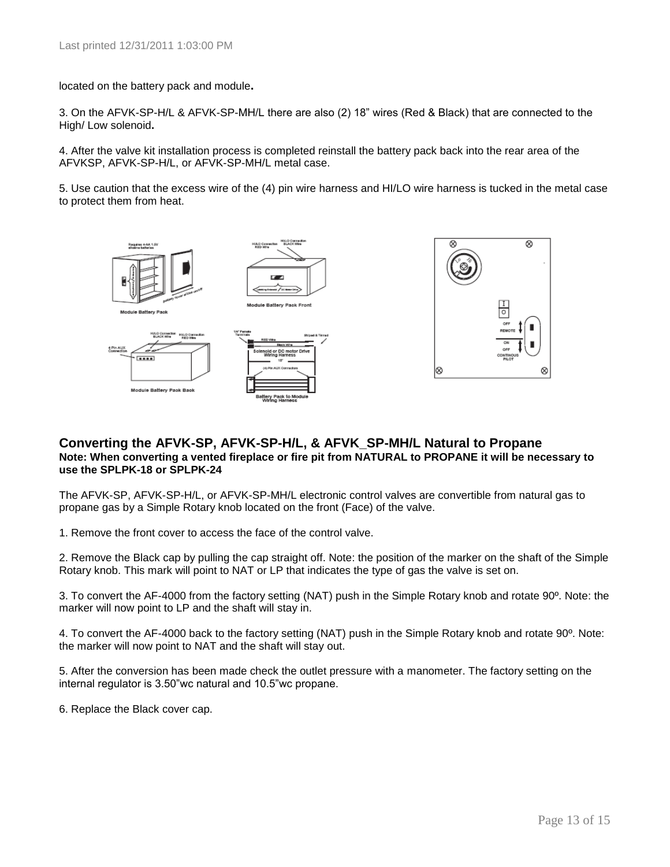located on the battery pack and module**.** 

3. On the AFVK-SP-H/L & AFVK-SP-MH/L there are also (2) 18" wires (Red & Black) that are connected to the High/ Low solenoid**.** 

4. After the valve kit installation process is completed reinstall the battery pack back into the rear area of the AFVKSP, AFVK-SP-H/L, or AFVK-SP-MH/L metal case.

5. Use caution that the excess wire of the (4) pin wire harness and HI/LO wire harness is tucked in the metal case to protect them from heat.



#### **Converting the AFVK-SP, AFVK-SP-H/L, & AFVK\_SP-MH/L Natural to Propane Note: When converting a vented fireplace or fire pit from NATURAL to PROPANE it will be necessary to use the SPLPK-18 or SPLPK-24**

The AFVK-SP, AFVK-SP-H/L, or AFVK-SP-MH/L electronic control valves are convertible from natural gas to propane gas by a Simple Rotary knob located on the front (Face) of the valve.

1. Remove the front cover to access the face of the control valve.

2. Remove the Black cap by pulling the cap straight off. Note: the position of the marker on the shaft of the Simple Rotary knob. This mark will point to NAT or LP that indicates the type of gas the valve is set on.

3. To convert the AF-4000 from the factory setting (NAT) push in the Simple Rotary knob and rotate 90º. Note: the marker will now point to LP and the shaft will stay in.

4. To convert the AF-4000 back to the factory setting (NAT) push in the Simple Rotary knob and rotate 90º. Note: the marker will now point to NAT and the shaft will stay out.

5. After the conversion has been made check the outlet pressure with a manometer. The factory setting on the internal regulator is 3.50"wc natural and 10.5"wc propane.

6. Replace the Black cover cap.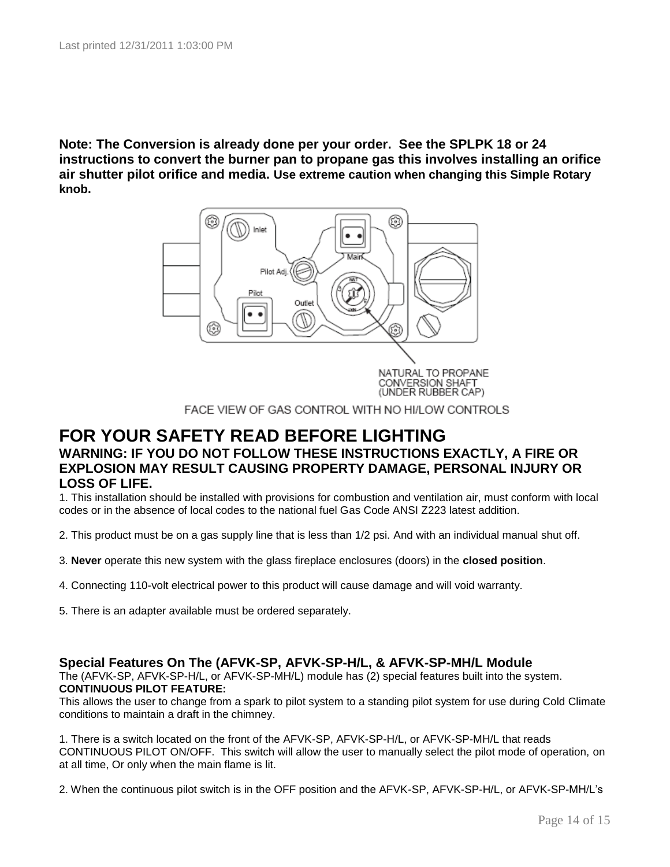**Note: The Conversion is already done per your order. See the SPLPK 18 or 24 instructions to convert the burner pan to propane gas this involves installing an orifice air shutter pilot orifice and media. Use extreme caution when changing this Simple Rotary knob.**



FACE VIEW OF GAS CONTROL WITH NO HI/LOW CONTROLS

### **FOR YOUR SAFETY READ BEFORE LIGHTING WARNING: IF YOU DO NOT FOLLOW THESE INSTRUCTIONS EXACTLY, A FIRE OR EXPLOSION MAY RESULT CAUSING PROPERTY DAMAGE, PERSONAL INJURY OR LOSS OF LIFE.**

1. This installation should be installed with provisions for combustion and ventilation air, must conform with local codes or in the absence of local codes to the national fuel Gas Code ANSI Z223 latest addition.

- 2. This product must be on a gas supply line that is less than 1/2 psi. And with an individual manual shut off.
- 3. **Never** operate this new system with the glass fireplace enclosures (doors) in the **closed position**.
- 4. Connecting 110-volt electrical power to this product will cause damage and will void warranty.
- 5. There is an adapter available must be ordered separately.

### **Special Features On The (AFVK-SP, AFVK-SP-H/L, & AFVK-SP-MH/L Module**

The (AFVK-SP, AFVK-SP-H/L, or AFVK-SP-MH/L) module has (2) special features built into the system. **CONTINUOUS PILOT FEATURE:**

This allows the user to change from a spark to pilot system to a standing pilot system for use during Cold Climate conditions to maintain a draft in the chimney.

1. There is a switch located on the front of the AFVK-SP, AFVK-SP-H/L, or AFVK-SP-MH/L that reads CONTINUOUS PILOT ON/OFF. This switch will allow the user to manually select the pilot mode of operation, on at all time, Or only when the main flame is lit.

2. When the continuous pilot switch is in the OFF position and the AFVK-SP, AFVK-SP-H/L, or AFVK-SP-MH/L's